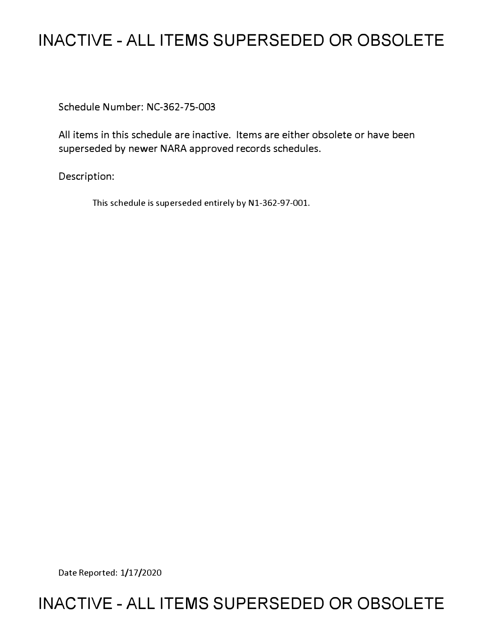## **INACTIVE - ALL ITEMS SUPERSEDED OR OBSOLETE**

Schedule Number: NC-362-75-003

All items in this schedule are inactive. Items are either obsolete or have been superseded by newer NARA approved records schedules.

Description:

This schedule is superseded entirely by Nl-362-97-001.

Date Reported: 1/17/2020

## **INACTIVE - ALL ITEMS SUPERSEDED OR OBSOLETE**